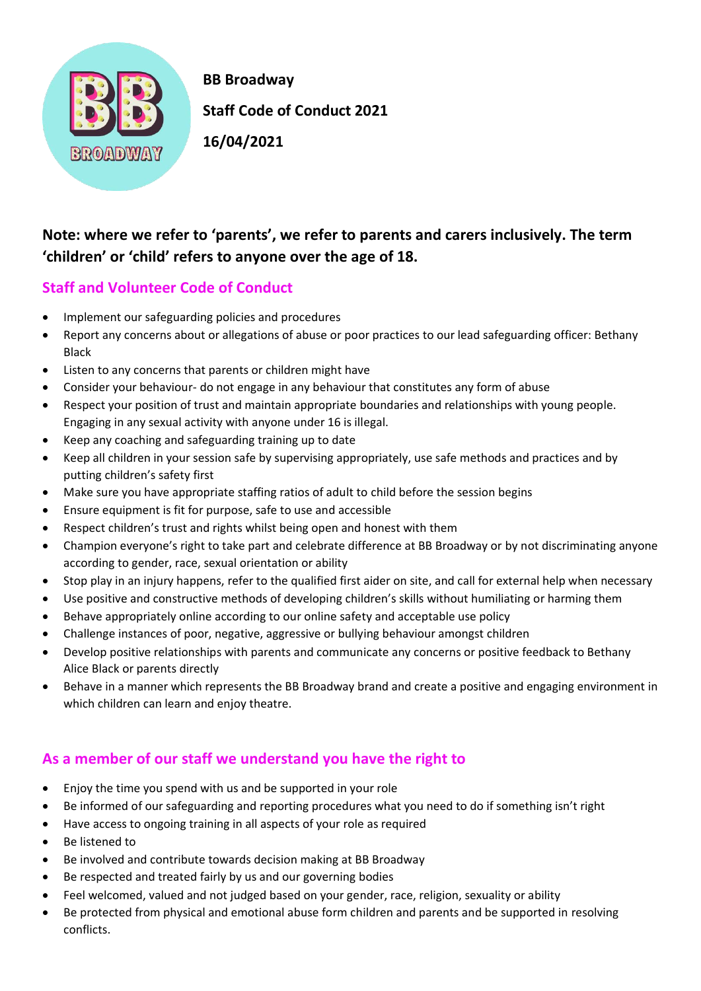

 **BB Broadway Staff Code of Conduct 2021** 

## **Note: where we refer to 'parents', we refer to parents and carers inclusively. The term 'children' or 'child' refers to anyone over the age of 18.**

## **Staff and Volunteer Code of Conduct**

- Implement our safeguarding policies and procedures
- Report any concerns about or allegations of abuse or poor practices to our lead safeguarding officer: Bethany Black
- Listen to any concerns that parents or children might have
- Consider your behaviour- do not engage in any behaviour that constitutes any form of abuse
- Respect your position of trust and maintain appropriate boundaries and relationships with young people. Engaging in any sexual activity with anyone under 16 is illegal.
- Keep any coaching and safeguarding training up to date
- Keep all children in your session safe by supervising appropriately, use safe methods and practices and by putting children's safety first
- Make sure you have appropriate staffing ratios of adult to child before the session begins
- Ensure equipment is fit for purpose, safe to use and accessible
- Respect children's trust and rights whilst being open and honest with them
- Champion everyone's right to take part and celebrate difference at BB Broadway or by not discriminating anyone according to gender, race, sexual orientation or ability
- Stop play in an injury happens, refer to the qualified first aider on site, and call for external help when necessary
- Use positive and constructive methods of developing children's skills without humiliating or harming them
- Behave appropriately online according to our online safety and acceptable use policy
- Challenge instances of poor, negative, aggressive or bullying behaviour amongst children
- Develop positive relationships with parents and communicate any concerns or positive feedback to Bethany Alice Black or parents directly
- Behave in a manner which represents the BB Broadway brand and create a positive and engaging environment in which children can learn and enjoy theatre.

## **As a member of our staff we understand you have the right to**

- Enjoy the time you spend with us and be supported in your role
- Be informed of our safeguarding and reporting procedures what you need to do if something isn't right
- Have access to ongoing training in all aspects of your role as required
- Be listened to
- Be involved and contribute towards decision making at BB Broadway
- Be respected and treated fairly by us and our governing bodies
- Feel welcomed, valued and not judged based on your gender, race, religion, sexuality or ability
- Be protected from physical and emotional abuse form children and parents and be supported in resolving conflicts.